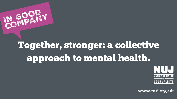

# Together, stronger: a collective approach to mental health.



www.nuj.org.uk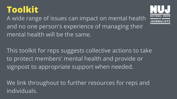### **Toolkit**

A wide range of issues can impact on mental health and no one person's experience of managing their mental health will be the same.

This toolkit for reps suggests collective actions to take to protect members' mental health and provide or signpost to appropriate support when needed.

We link throughout to further resources for reps and individuals.

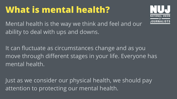## **What is mental health?**

Mental health is the way we think and feel and our ability to deal with ups and downs.

It can fluctuate as circumstances change and as you move through different stages in your life. Everyone has mental health.

Just as we consider our physical health, we should pay attention to protecting our mental health.

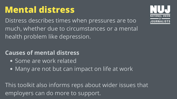### **Mental distress**

Distress describes times when pressures are too much, whether due to circumstances or a mental health problem like depression.

### **Causes of mental distress**

- Some are work related
- Many are not but can impact on life at work

This toolkit also informs reps about wider issues that employers can do more to support.

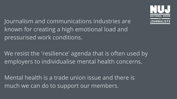Journalism and communications industries are known for creating a high emotional load and pressurised work conditions.

We resist the 'resilience' agenda that is often used by employers to individualise mental health concerns.

Mental health is a trade union issue and there is much we can do to support our members.

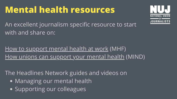### **Mental health resources**

An excellent journalism specific resource to start with and share on:

Managing our mental health • Supporting our colleagues The [Headlines](https://headlines-network.com/) Network guides and videos on





How to [support](https://www.mentalhealth.org.uk/publications/how-support-mental-health-work) mental health at work (MHF) How unions can [support](https://www.mentalhealthatwork.org.uk/blog/how-unions-can-support-your-workplace-mental-health-journey/?utm_source=NUJ&utm_medium=social&utm_campaign=Unions-blog) your mental health (MIND)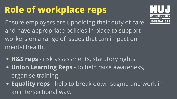# **Role of workplace reps**

Ensure employers are upholding their duty of care and have appropriate policies in place to support workers on a range of issues that can impact on mental health.

- **H&S reps** risk assessments, statutory rights
- **Union Learning Reps** to help raise awareness, organise training
- **Equality reps** help to break down stigma and work in an intersectional way.

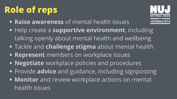# **Role of reps**

- **Raise awareness** of mental health issues
- Help create a **supportive environment**, including talking openly about mental health and wellbeing
- Tackle and **challenge stigma** about mental health
- **Represent** members on workplace issues
- **Negotiate** workplace policies and procedures
- Provide **advice** and guidance, including signposting
- **Monitor** and review workplace actions on mental health issues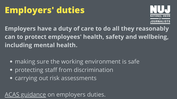# **Employers' duties**

• making sure the working environment is safe protecting staff from discrimination carrying out risk assessments

**Employers have a duty of care to do all they reasonably can to protect employees' health, safety and wellbeing, including mental health.**

ACAS [guidance](https://www.acas.org.uk/supporting-mental-health-workplace) on employers duties.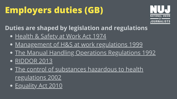# **Employers duties (GB)**

**Duties are shaped by legislation and regulations**

- [Health](http://www.hse.gov.uk/legislation/hswa.htm) & Safety at Work Act 1974
- [Management](http://www.hse.gov.uk/pubns/priced/hsg65.pdf) of H&S at work regulations 1999
- The Manual Handling Operations [Regulations](http://www.hse.gov.uk/foi/internalops/ocs/300-399/313_5.htm) 1992
- **[RIDDOR](http://www.hse.gov.uk/riddor/) 2013**
- **The control of substances hazardous to health** [regulations](https://www.hse.gov.uk/coshh/) 2002
- · [Equality](https://www.equalityhumanrights.com/en/advice-and-guidance/your-rights-under-equality-act-2010) Act 2010

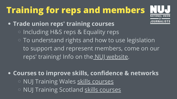# **Training for reps and members**

**Trade union reps' training courses** o Including H&S reps & Equality reps

 $\circ$  To understand rights and how to use legislation to support and represent members, come on our reps' training! Info on the NUJ [website.](https://www.nuj.org.uk/learn/nuj-training/trade-union-training.html)

**Courses to improve skills, confidence & networks** o NUJ Training Wales skills [courses](https://www.nujtrainingwales.org/) **NUJ Training Scotland skills [courses](https://nujtrainingscotland.com/)** 



- 
- 
- 
- 
- 
-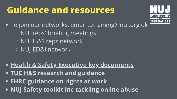### **Guidance and resources**

- To join our networks, email tutraining@nuj.org.uk
	- **IO NUJ reps' briefing meetings**
	- NUJ H&S reps network
	- NUJ ED&I network
- **Health & Safety Executive key [documents](https://www.hse.gov.uk/)**
- **TUC [H&S](https://www.tuc.org.uk/union-reps/health-safety-and-well-being) research and guidance**
- **EHRC [guidance](https://www.equalityhumanrights.com/en/advice-and-guidance/guidance-workers) on rights at work**
- **NUJ Safety toolkit inc tackling online abuse**

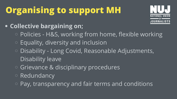# **Organising to support MH**

- **Collective bargaining on;**
	- Policies H&S, working from home, flexible working
	- Equality, diversity and inclusion
	- Disability Long Covid, Reasonable Adjustments, Disability leave
	- Grievance & disciplinary procedures
	- Redundancy
	- $\circ$  Pay, transparency and fair terms and conditions



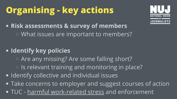# **Organising - key actions**

- **Risk assessments & survey of members** What issues are important to members?
- **Identify key policies**
	- Are any missing? Are some falling short?
	- $\circ$  Is relevant training and monitoring in place?
- $\bullet$  Identify collective and individual issues
- Take concerns to employer and suggest courses of action
- TUC harmful [work-related](https://www.tuc.org.uk/resource/responding-harmful-work-related-stress) stress and enforcement





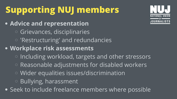# **Supporting NUJ members**

**Advice and representation** Grievances, disciplinaries 'Restructuring' and redundancies **Workplace risk assessments**  $\circ$  Including workload, targets and other stressors Reasonable adjustments for disabled workers Wider equalities issues/discrimination Bullying, harassment Seek to include freelance members where possible

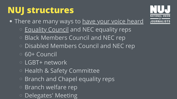### **NUJ structures**

. There are many ways to have your voice [heard](https://www.nuj.org.uk/about-us/union-structure.html) [Equality](https://www.nuj.org.uk/resource/nuj-branch-march-2021.html) Council and NEC equality reps **Black Members Council and NEC rep** o Disabled Members Council and NEC rep 60+ Council LGBT+ network Health & Safety Committee **Branch and Chapel equality reps** 

Branch welfare rep

Delegates' Meeting

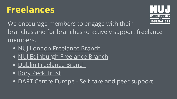### **Freelances**

We encourage members to engage with their branches and for branches to actively support freelance members.

- **NUJ London [Freelance](http://www.londonfreelance.org/) Branch**
- NUJ [Edinburgh](https://www.edinburgh-freelance.org.uk/about/) Freelance Branch
- **Dublin [Freelance](https://dublinfreelance.org/) Branch**
- Rory Peck [Trust](https://rorypecktrust.org/freelance-assistance/)
- DART Centre Europe Self care and peer [support](https://dartcenter.org/topic/self-care-peer-support)

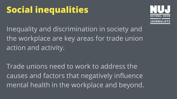# **Social inequalities**

Inequality and discrimination in society and the workplace are key areas for trade union action and activity.

Trade unions need to work to address the causes and factors that negatively influence mental health in the workplace and beyond.

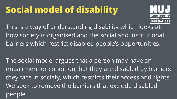# **Social model of disability**

This is a way of understanding disability which looks at how society is organised and the social and institutional barriers which restrict disabled people's opportunities.

The social model argues that a person may have an impairment or condition, but they are disabled by barriers they face in society, which restricts their access and rights. We seek to remove the barriers that exclude disabled people.



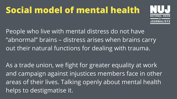## **Social model of mental health**

People who live with mental distress do not have "abnormal" brains – distress arises when brains carry out their natural functions for dealing with trauma.

As a trade union, we fight for greater equality at work and campaign against injustices members face in other areas of their lives. Talking openly about mental health helps to destigmatise it.

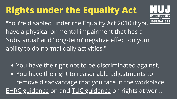# **Rights under the Equality Act**

You have the right not to be discriminated against. • You have the right to reasonable adjustments to remove disadvantage that you face in the workplace. EHRC [guidance](https://www.equalityhumanrights.com/en/advice-and-guidance/equality-act-guidance#h2) on and TUC [guidance](https://www.tuc.org.uk/union-reps/equality-and-discrimination/disability) on rights at work.





"You're disabled under the Equality Act 2010 if you have a physical or mental impairment that has a 'substantial' and 'long-term' negative effect on your ability to do normal daily activities. "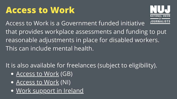### **Access to Work**

- [Access](https://www.gov.uk/access-to-work) to Work (GB)
- [Access](https://www.nidirect.gov.uk/articles/access-work-practical-help-work#:~:text=Access%20to%20Work%20(NI)%20can,people%20with%20disabilities%20in%20employment.) to Work (NI)
- Work [support](https://www.gov.ie/en/publication/f6d74-get-work-supports-if-you-have-a-disability/) in Ireland



Access to Work is a Government funded initiative that provides workplace assessments and funding to put reasonable adjustments in place for disabled workers. This can include mental health.

It is also available for freelances (subject to eligibility).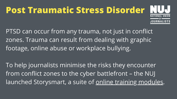# **Post Traumatic Stress Disorder**

To help journalists minimise the risks they encounter from conflict zones to the cyber battlefront – the NUJ launched Storysmart, a suite of online training [modules.](https://nujstorysmart.com/)



PTSD can occur from any trauma, not just in conflict zones. Trauma can result from dealing with graphic footage, online abuse or workplace bullying.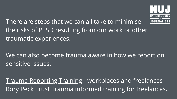There are steps that we can all take to minimise the risks of PTSD resulting from our work or other traumatic experiences.

Trauma [Reporting](https://traumareporting.com/) Training - workplaces and freelances Rory Peck Trust Trauma informed training for [freelances.](https://rorypecktrust.org/freelance-assistance/resilience-programme-2/)



We can also become trauma aware in how we report on sensitive issues.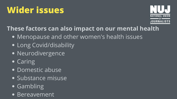## **Wider issues**

- Menopause and other women's health issues
- Long Covid/disability
- Neurodivergence
- Caring
- Domestic abuse
- Substance misuse
- **Gambling**
- Bereavement

### **These factors can also impact on our mental health**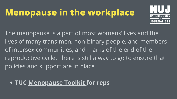## **Menopause in the workplace**

### **TUC [Menopause](https://www.tuc.org.uk/menopause-workplace-toolkit-trade-unionists-wales-tuc-cymru) Toolkit for reps**



The menopause is a part of most womens' lives and the lives of many trans men, non-binary people, and members of intersex communities, and marks of the end of the reproductive cycle. There is still a way to go to ensure that policies and support are in place.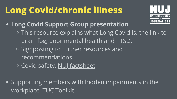# **Long Covid/chronic illness**

- **Long Covid Support Group [presentation](http://nuj.org.uk/resource/longcovidsupport.html)** This resource explains what Long Covid is, the link to brain fog, poor mental health and PTSD. Signposting to further resources and recommendations. **Covid safety, NUJ [factsheet](https://www.nuj.org.uk/resource/nuj-h-s-coronavirus-factsheet-1-aug-2021-pdf.html)**
- **.** Supporting members with hidden impairments in the workplace, TUC [Toolkit.](https://www.tuc.org.uk/disability-and-hidden-impairments-workplace-toolkit)



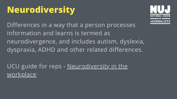## **Neurodiversity**

Differences in a way that a person processes information and learns is termed as neurodivergence, and includes autism, dyslexia, dyspraxia, ADHD and other related differences.

UCU guide for reps - [Neurodiversity](https://www.ucu.org.uk/media/12406/Neurodiversity-Guidance/pdf/Neurodiversity_A4_guide_January_22.pdf) in the workplace

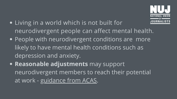- Living in a world which is not built for neurodivergent people can affect mental health.
- People with neurodivergent conditions are more likely to have mental health conditions such as depression and anxiety.
- **Reasonable adjustments** may support neurodivergent members to reach their potential at work - [guidance](https://webarchive.nationalarchives.gov.uk/ukgwa/20210104113255/https:/archive.acas.org.uk/index.aspx?articleid=6676) from ACAS.

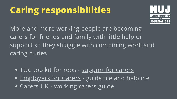# **Caring responsibilities**

More and more working people are becoming carers for friends and family with little help or support so they struggle with combining work and caring duties.

**• TUC toolkit for reps - [support](https://www.unionlearn.org.uk/sites/default/files/publication/Mini%20guides%20helping%20carers.pdf) for carers** • [Employers](https://www.employersforcarers.org/about-us/how-we-help) for Carers - guidance and helpline **• Carers UK - [working](https://www.carersuk.org/wales/help-and-advice/factsheets-carers-wales/working-carers-guide) carers guide** 

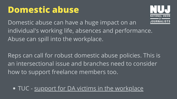### **Domestic abuse**

Domestic abuse can have a huge impact on an individual's working life, absences and performance. Abuse can spill into the workplace.

Reps can call for robust domestic abuse policies. This is an intersectional issue and branches need to consider how to support freelance members too.

• TUC - support for DA victims in the [workplace](https://www.tuc.org.uk/research-analysis/reports/support-workplace-victims-domestic-abuse)

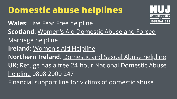**Domestic abuse helplines Wales**: Live Fear Free [helpline](https://gov.wales/live-fear-free) **Scotland**: Women's Aid [Domestic](https://www.sdafmh.org.uk/en/) Abuse and Forced Marriage helpline **Ireland**: [Women's](https://www.womensaid.ie/services/helpline.html) Aid Helpline **Northern Ireland**: [Domestic](https://www.dsahelpline.org/) and Sexual Abuse helpline **UK**: Refuge has a free 24-hour National [Domestic](https://www.refuge.org.uk/get-help-now/phone-the-helpline/) Abuse helpline 0808 2000 247 [Financial](https://survivingeconomicabuse.org/financial-support-line/) support line for victims of domestic abuse



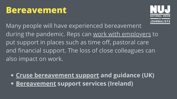### **Bereavement**

Many people will have experienced bereavement during the pandemic. Reps can work with [employers](https://www.tuc.org.uk/blogs/covid-19-how-unions-can-help-support-bereaved-workers) to put support in places such as time off, pastoral care and financial support. The loss of close colleagues can also impact on work.

**Cruse [bereavement](https://www.cruse.org.uk/) support and guidance (UK) [Bereavement](https://www.citizensinformation.ie/en/death/bereavement_counselling_and_support/bereavement_counselling_andsupport_services.html) support services (Ireland)**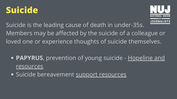### **Suicide**

**• PAPYRUS**, [prevention](https://www.papyrus-uk.org/) of young suicide - Hopeline and resources

• Suicide bereavement support [resources](https://www.papyrus-uk.org/suicide-bereavement-support/)



Suicide is the leading cause of death in under-35s. Members may be affected by the suicide of a colleague or loved one or experience thoughts of suicide themselves.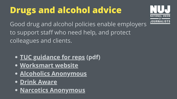# **Drugs and alcohol advice**

- **TUC [guidance](https://www.tuc.org.uk/sites/default/files/drugsalcoholinworkplace.pdf) for reps (pdf)**
- **[Worksmart](https://worksmart.org.uk/health-advice/employer-support/drugs-and-alcohol) website**
- **Alcoholics [Anonymous](http://www.alcoholics-anonymous.org.uk/)**
- **Drink [Aware](https://www.drinkaware.co.uk/advice/alcohol-support-services)**
- **Narcotics [Anonymous](https://ukna.org/)**





Good drug and alcohol policies enable employers to support staff who need help, and protect colleagues and clients.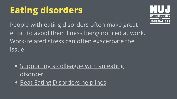## **Eating disorders**

People with eating disorders often make great effort to avoid their illness being noticed at work. Work-related stress can often exacerbate the issue.

- **[Supporting](https://www.beateatingdisorders.org.uk/get-information-and-support/support-someone-else/worried-about-a-colleague/) a colleague with an eating** disorder
- **Beat Eating [Disorders](https://www.beateatingdisorders.org.uk/get-information-and-support/get-help-for-myself/i-need-support-now/helplines/) helplines**



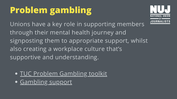# **Problem gambling**

TUC Problem [Gambling](https://www.tuc.org.uk/sites/default/files/2020-11/Problem%20Gambling%20toolkit.pdf) toolkit **• [Gambling](https://www.gamcare.org.uk/) support** 



Unions have a key role in supporting members through their mental health journey and signposting them to appropriate support, whilst also creating a workplace culture that's supportive and understanding.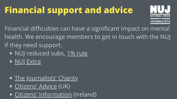# **Financial support and advice**

- Financial difficulties can have a significant impact on mental health. We encourage members to get in touch with the NUJ if they need support.
	- · NUJ reduced subs, 1% [rule](http://www.londonfreelance.org/fl/2201subs.html)
	- NUJ [Extra](https://www.nuj.org.uk/about-us/nuj-charities/nuj-extra.html)
	- The [Journalists'](https://journalistscharity.org.uk/) Charity
	- [Citizens'](https://www.citizensadvice.org.uk/) Advice (UK)
	- Citizens' [Information](https://www.citizensinformation.ie/en/) (Ireland)



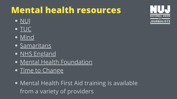### **Mental health resources**

- [NUJ](https://www.nuj.org.uk/search.html?q=mental+health)
- [TUC](https://www.tuc.org.uk/sites/default/files/TUC-MENTAL_HEALTH_WORKPLACE.pdf)
- · [Mind](https://www.mind.org.uk/)
- · [Samaritans](https://www.samaritans.org/)
- **NHS [England](https://www.nhs.uk/mental-health/)**
- Mental Health [Foundation](https://www.mentalhealth.org.uk/getting-help)
- Time to [Change](https://www.time-to-change.org.uk/)
- Mental Health First Aid training is available from a variety of providers



### ATIONAL  $0F$ **OURNALISTS**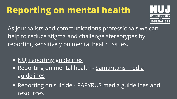# **Reporting on mental health**

- · NUJ reporting [guidelines](https://www.nuj.org.uk/resource/nuj-guidelines-for-reporting-mental-health-and-death-by-suicide.html)
- Reporting on mental health [Samaritans](https://www.samaritans.org/wales/about-samaritans/media-guidelines/) media guidelines
- Reporting on suicide PAPYRUS media [guidelines](https://www.papyrus-uk.org/guidelines-for-journalists/) and resources





As journalists and communications professionals we can help to reduce stigma and challenge stereotypes by reporting sensitively on mental health issues.